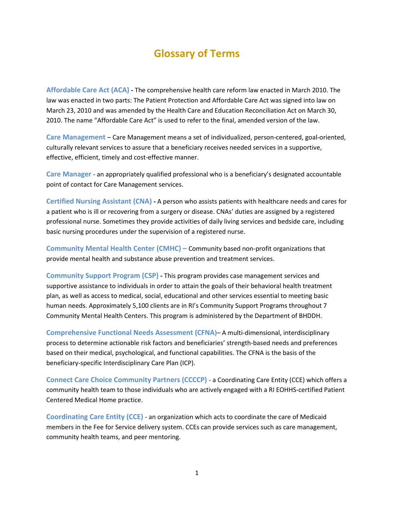## **Glossary of Terms**

**Affordable Care Act (ACA) -** The comprehensive health care reform law enacted in March 2010. The law was enacted in two parts: The Patient Protection and Affordable Care Act was signed into law on March 23, 2010 and was amended by the Health Care and Education Reconciliation Act on March 30, 2010. The name "Affordable Care Act" is used to refer to the final, amended version of the law.

**Care Management** – Care Management means a set of individualized, person-centered, goal-oriented, culturally relevant services to assure that a beneficiary receives needed services in a supportive, effective, efficient, timely and cost-effective manner.

**Care Manager** - an appropriately qualified professional who is a beneficiary's designated accountable point of contact for Care Management services.

**Certified Nursing Assistant (CNA) -** A person who assists patients with healthcare needs and cares for a patient who is ill or recovering from a surgery or disease. CNAs' duties are assigned by a registered professional nurse. Sometimes they provide activities of daily living services and bedside care, including basic nursing procedures under the supervision of a registered nurse.

**Community Mental Health Center (CMHC) –** Community based non-profit organizations that provide mental health and substance abuse prevention and treatment services.

**Community Support Program (CSP) -** This program provides case management services and supportive assistance to individuals in order to attain the goals of their behavioral health treatment plan, as well as access to medical, social, educational and other services essential to meeting basic human needs. Approximately 5,100 clients are in RI's Community Support Programs throughout 7 Community Mental Health Centers. This program is administered by the Department of BHDDH.

**Comprehensive Functional Needs Assessment (CFNA)**– A multi-dimensional, interdisciplinary process to determine actionable risk factors and beneficiaries' strength-based needs and preferences based on their medical, psychological, and functional capabilities. The CFNA is the basis of the beneficiary-specific Interdisciplinary Care Plan (ICP).

**Connect Care Choice Community Partners (CCCCP)** - a Coordinating Care Entity (CCE) which offers a community health team to those individuals who are actively engaged with a RI EOHHS-certified Patient Centered Medical Home practice.

**Coordinating Care Entity (CCE)** - an organization which acts to coordinate the care of Medicaid members in the Fee for Service delivery system. CCEs can provide services such as care management, community health teams, and peer mentoring.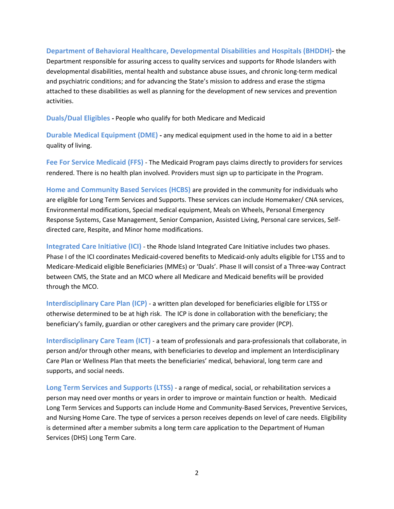## **Department of Behavioral Healthcare, Developmental Disabilities and Hospitals (BHDDH)**- the

Department responsible for assuring access to quality services and supports for Rhode Islanders with developmental disabilities, mental health and substance abuse issues, and chronic long-term medical and psychiatric conditions; and for advancing the State's mission to address and erase the stigma attached to these disabilities as well as planning for the development of new services and prevention activities.

**Duals/Dual Eligibles -** People who qualify for both Medicare and Medicaid

**Durable Medical Equipment (DME) -** any medical equipment used in the home to aid in a better quality of living.

**Fee For Service Medicaid (FFS)** - The Medicaid Program pays claims directly to providers for services rendered. There is no health plan involved. Providers must sign up to participate in the Program.

**Home and Community Based Services (HCBS)** are provided in the community for individuals who are eligible for Long Term Services and Supports. These services can include Homemaker/ CNA services, Environmental modifications, Special medical equipment, Meals on Wheels, Personal Emergency Response Systems, Case Management, Senior Companion, Assisted Living, Personal care services, Selfdirected care, Respite, and Minor home modifications.

**Integrated Care Initiative (ICI)** - the Rhode Island Integrated Care Initiative includes two phases. Phase I of the ICI coordinates Medicaid-covered benefits to Medicaid-only adults eligible for LTSS and to Medicare-Medicaid eligible Beneficiaries (MMEs) or 'Duals'. Phase II will consist of a Three-way Contract between CMS, the State and an MCO where all Medicare and Medicaid benefits will be provided through the MCO.

**Interdisciplinary Care Plan (ICP)** - a written plan developed for beneficiaries eligible for LTSS or otherwise determined to be at high risk. The ICP is done in collaboration with the beneficiary; the beneficiary's family, guardian or other caregivers and the primary care provider (PCP).

**Interdisciplinary Care Team (ICT)** - a team of professionals and para-professionals that collaborate, in person and/or through other means, with beneficiaries to develop and implement an Interdisciplinary Care Plan or Wellness Plan that meets the beneficiaries' medical, behavioral, long term care and supports, and social needs.

**Long Term Services and Supports (LTSS)** - a range of medical, social, or rehabilitation services a person may need over months or years in order to improve or maintain function or health. Medicaid Long Term Services and Supports can include Home and Community-Based Services, Preventive Services, and Nursing Home Care. The type of services a person receives depends on level of care needs. Eligibility is determined after a member submits a long term care application to the Department of Human Services (DHS) Long Term Care.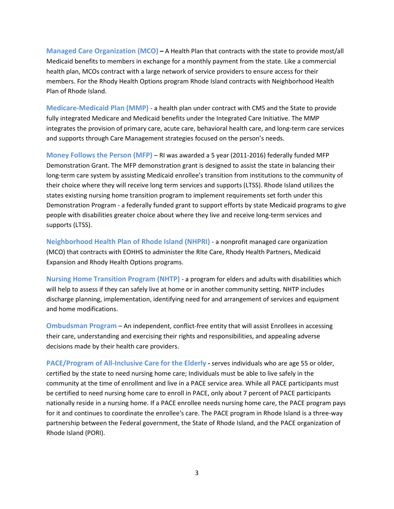**Managed Care Organization (MCO) –** A Health Plan that contracts with the state to provide most/all Medicaid benefits to members in exchange for a monthly payment from the state. Like a commercial health plan, MCOs contract with a large network of service providers to ensure access for their members. For the Rhody Health Options program Rhode Island contracts with Neighborhood Health Plan of Rhode Island.

**Medicare-Medicaid Plan (MMP)** - a health plan under contract with CMS and the State to provide fully integrated Medicare and Medicaid benefits under the Integrated Care Initiative. The MMP integrates the provision of primary care, acute care, behavioral health care, and long-term care services and supports through Care Management strategies focused on the person's needs.

**Money Follows the Person (MFP)** – RI was awarded a 5 year (2011-2016) federally funded MFP Demonstration Grant. The MFP demonstration grant is designed to assist the state in balancing their long-term care system by assisting Medicaid enrollee's transition from institutions to the community of their choice where they will receive long term services and supports (LTSS). Rhode Island utilizes the states existing nursing home transition program to implement requirements set forth under this Demonstration Program - a federally funded grant to support efforts by state Medicaid programs to give people with disabilities greater choice about where they live and receive long-term services and supports (LTSS).

**Neighborhood Health Plan of Rhode Island (NHPRI)** - a nonprofit managed care organization (MCO) that contracts with EOHHS to administer the RIte Care, Rhody Health Partners, Medicaid Expansion and Rhody Health Options programs.

**Nursing Home Transition Program (NHTP)** - a program for elders and adults with disabilities which will help to assess if they can safely live at home or in another community setting. NHTP includes discharge planning, implementation, identifying need for and arrangement of services and equipment and home modifications.

**Ombudsman Program** – An independent, conflict-free entity that will assist Enrollees in accessing their care, understanding and exercising their rights and responsibilities, and appealing adverse decisions made by their health care providers.

**PACE/Program of All-Inclusive Care for the Elderly -** serves individuals who are age 55 or older, certified by the state to need nursing home care; Individuals must be able to live safely in the community at the time of enrollment and live in a PACE service area. While all PACE participants must be certified to need nursing home care to enroll in PACE, only about 7 percent of PACE participants nationally reside in a nursing home. If a PACE enrollee needs nursing home care, the PACE program pays for it and continues to coordinate the enrollee's care. The PACE program in Rhode Island is a three-way partnership between the Federal government, the State of Rhode Island, and the PACE organization of Rhode Island (PORI).